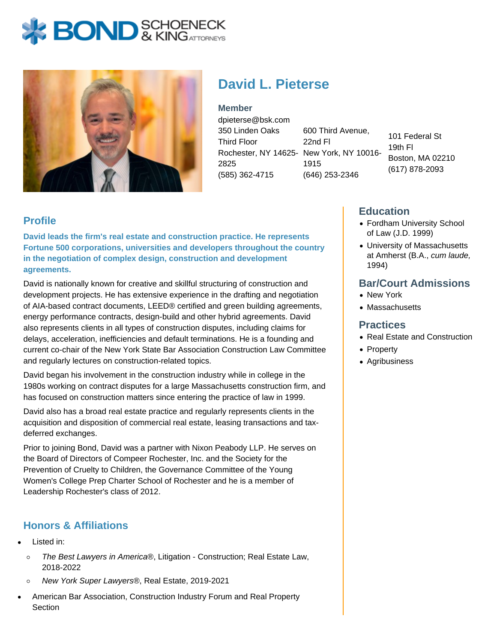# **BOND** & KINGATTORNECK



# **David L. Pieterse**

**Member** dpieterse@bsk.com 350 Linden Oaks Third Floor Rochester, NY 14625- New York, NY 10016- 2825 (585) 362-4715

600 Third Avenue, 22nd Fl 1915 (646) 253-2346

101 Federal St 19th Fl Boston, MA 02210 (617) 878-2093

#### **Profile**

**David leads the firm's real estate and construction practice. He represents Fortune 500 corporations, universities and developers throughout the country in the negotiation of complex design, construction and development agreements.**

David is nationally known for creative and skillful structuring of construction and development projects. He has extensive experience in the drafting and negotiation of AIA-based contract documents, LEED® certified and green building agreements, energy performance contracts, design-build and other hybrid agreements. David also represents clients in all types of construction disputes, including claims for delays, acceleration, inefficiencies and default terminations. He is a founding and current co-chair of the New York State Bar Association Construction Law Committee and regularly lectures on construction-related topics.

David began his involvement in the construction industry while in college in the 1980s working on contract disputes for a large Massachusetts construction firm, and has focused on construction matters since entering the practice of law in 1999.

David also has a broad real estate practice and regularly represents clients in the acquisition and disposition of commercial real estate, leasing transactions and taxdeferred exchanges.

Prior to joining Bond, David was a partner with Nixon Peabody LLP. He serves on the Board of Directors of Compeer Rochester, Inc. and the Society for the Prevention of Cruelty to Children, the Governance Committee of the Young Women's College Prep Charter School of Rochester and he is a member of Leadership Rochester's class of 2012.

### **Honors & Affiliations**

- Listed in:
	- $\circ$ The Best Lawyers in America®, Litigation - Construction; Real Estate Law, 2018-2022
	- New York Super Lawyers®, Real Estate, 2019-2021
- American Bar Association, Construction Industry Forum and Real Property **Section**

#### **Education**

- Fordham University School of Law (J.D. 1999)
- University of Massachusetts at Amherst (B.A., cum laude, 1994)

#### **Bar/Court Admissions**

- New York
- Massachusetts

#### **Practices**

- Real Estate and Construction
- Property
- Agribusiness